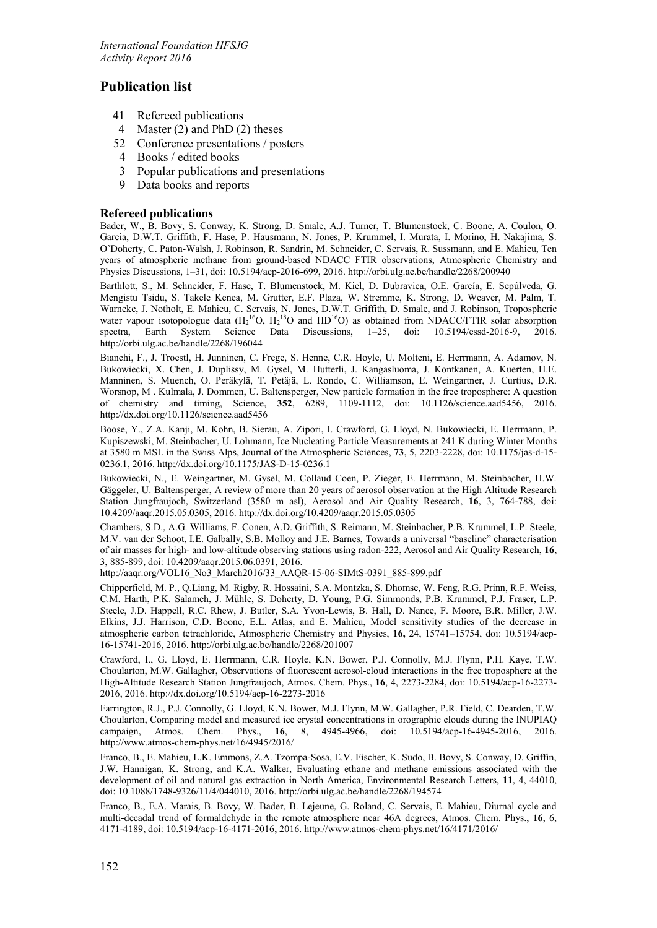# **Publication list**

- 41 Refereed publications<br>4 Master (2) and PhD (2)
- Master  $(2)$  and PhD  $(2)$  theses
- 52 Conference presentations / posters
- 4 Books / edited books
- 3 Popular publications and presentations
- 9 Data books and reports

## **Refereed publications**

Bader, W., B. Bovy, S. Conway, K. Strong, D. Smale, A.J. Turner, T. Blumenstock, C. Boone, A. Coulon, O. Garcia, D.W.T. Griffith, F. Hase, P. Hausmann, N. Jones, P. Krummel, I. Murata, I. Morino, H. Nakajima, S. O'Doherty, C. Paton-Walsh, J. Robinson, R. Sandrin, M. Schneider, C. Servais, R. Sussmann, and E. Mahieu, Ten years of atmospheric methane from ground-based NDACC FTIR observations, Atmospheric Chemistry and Physics Discussions, 1–31, doi: 10.5194/acp-2016-699, 2016. http://orbi.ulg.ac.be/handle/2268/200940

Barthlott, S., M. Schneider, F. Hase, T. Blumenstock, M. Kiel, D. Dubravica, O.E. García, E. Sepúlveda, G. Mengistu Tsidu, S. Takele Kenea, M. Grutter, E.F. Plaza, W. Stremme, K. Strong, D. Weaver, M. Palm, T. Warneke, J. Notholt, E. Mahieu, C. Servais, N. Jones, D.W.T. Griffith, D. Smale, and J. Robinson, Tropospheric water vapour isotopologue data  $(H_2^{16}O, H_2^{18}O)$  and HD<sup>16</sup>O) as obtained from NDACC/FTIR solar absorption spectra, Earth System Science Data Discussions, 1–25, doi: 10.5194/essd-2016-9, 2016. http://orbi.ulg.ac.be/handle/2268/196044

Bianchi, F., J. Troestl, H. Junninen, C. Frege, S. Henne, C.R. Hoyle, U. Molteni, E. Herrmann, A. Adamov, N. Bukowiecki, X. Chen, J. Duplissy, M. Gysel, M. Hutterli, J. Kangasluoma, J. Kontkanen, A. Kuerten, H.E. Manninen, S. Muench, O. Peräkylä, T. Petäjä, L. Rondo, C. Williamson, E. Weingartner, J. Curtius, D.R. Worsnop, M . Kulmala, J. Dommen, U. Baltensperger, New particle formation in the free troposphere: A question of chemistry and timing, Science, **352**, 6289, 1109-1112, doi: 10.1126/science.aad5456, 2016. http://dx.doi.org/10.1126/science.aad5456

Boose, Y., Z.A. Kanji, M. Kohn, B. Sierau, A. Zipori, I. Crawford, G. Lloyd, N. Bukowiecki, E. Herrmann, P. Kupiszewski, M. Steinbacher, U. Lohmann, Ice Nucleating Particle Measurements at 241 K during Winter Months at 3580 m MSL in the Swiss Alps, Journal of the Atmospheric Sciences, **73**, 5, 2203-2228, doi: 10.1175/jas-d-15- 0236.1, 2016. http://dx.doi.org/10.1175/JAS-D-15-0236.1

Bukowiecki, N., E. Weingartner, M. Gysel, M. Collaud Coen, P. Zieger, E. Herrmann, M. Steinbacher, H.W. Gäggeler, U. Baltensperger, A review of more than 20 years of aerosol observation at the High Altitude Research Station Jungfraujoch, Switzerland (3580 m asl), Aerosol and Air Quality Research, **16**, 3, 764-788, doi: 10.4209/aaqr.2015.05.0305, 2016. http://dx.doi.org/10.4209/aaqr.2015.05.0305

Chambers, S.D., A.G. Williams, F. Conen, A.D. Griffith, S. Reimann, M. Steinbacher, P.B. Krummel, L.P. Steele, M.V. van der Schoot, I.E. Galbally, S.B. Molloy and J.E. Barnes, Towards a universal "baseline" characterisation of air masses for high- and low-altitude observing stations using radon-222, Aerosol and Air Quality Research, **16**, 3, 885-899, doi: 10.4209/aaqr.2015.06.0391, 2016.

http://aaqr.org/VOL16\_No3\_March2016/33\_AAQR-15-06-SIMtS-0391\_885-899.pdf

Chipperfield, M. P., Q.Liang, M. Rigby, R. Hossaini, S.A. Montzka, S. Dhomse, W. Feng, R.G. Prinn, R.F. Weiss, C.M. Harth, P.K. Salameh, J. Mühle, S. Doherty, D. Young, P.G. Simmonds, P.B. Krummel, P.J. Fraser, L.P. Steele, J.D. Happell, R.C. Rhew, J. Butler, S.A. Yvon-Lewis, B. Hall, D. Nance, F. Moore, B.R. Miller, J.W. Elkins, J.J. Harrison, C.D. Boone, E.L. Atlas, and E. Mahieu, Model sensitivity studies of the decrease in atmospheric carbon tetrachloride, Atmospheric Chemistry and Physics, **16,** 24, 15741–15754, doi: 10.5194/acp-16-15741-2016, 2016. http://orbi.ulg.ac.be/handle/2268/201007

Crawford, I., G. Lloyd, E. Herrmann, C.R. Hoyle, K.N. Bower, P.J. Connolly, M.J. Flynn, P.H. Kaye, T.W. Choularton, M.W. Gallagher, Observations of fluorescent aerosol-cloud interactions in the free troposphere at the High-Altitude Research Station Jungfraujoch, Atmos. Chem. Phys., **16**, 4, 2273-2284, doi: 10.5194/acp-16-2273- 2016, 2016. http://dx.doi.org/10.5194/acp-16-2273-2016

Farrington, R.J., P.J. Connolly, G. Lloyd, K.N. Bower, M.J. Flynn, M.W. Gallagher, P.R. Field, C. Dearden, T.W. Choularton, Comparing model and measured ice crystal concentrations in orographic clouds during the INUPIAQ chem. Phys., 16, 8, 4945-4966, doi: 10.5194/acp-16-4945-2016, 2016. http://www.atmos-chem-phys.net/16/4945/2016/

Franco, B., E. Mahieu, L.K. Emmons, Z.A. Tzompa-Sosa, E.V. Fischer, K. Sudo, B. Bovy, S. Conway, D. Griffin, J.W. Hannigan, K. Strong, and K.A. Walker, Evaluating ethane and methane emissions associated with the development of oil and natural gas extraction in North America, Environmental Research Letters, **11**, 4, 44010, doi: 10.1088/1748-9326/11/4/044010, 2016. http://orbi.ulg.ac.be/handle/2268/194574

Franco, B., E.A. Marais, B. Bovy, W. Bader, B. Lejeune, G. Roland, C. Servais, E. Mahieu, Diurnal cycle and multi-decadal trend of formaldehyde in the remote atmosphere near 46A degrees, Atmos. Chem. Phys., **16**, 6, 4171-4189, doi: 10.5194/acp-16-4171-2016, 2016. http://www.atmos-chem-phys.net/16/4171/2016/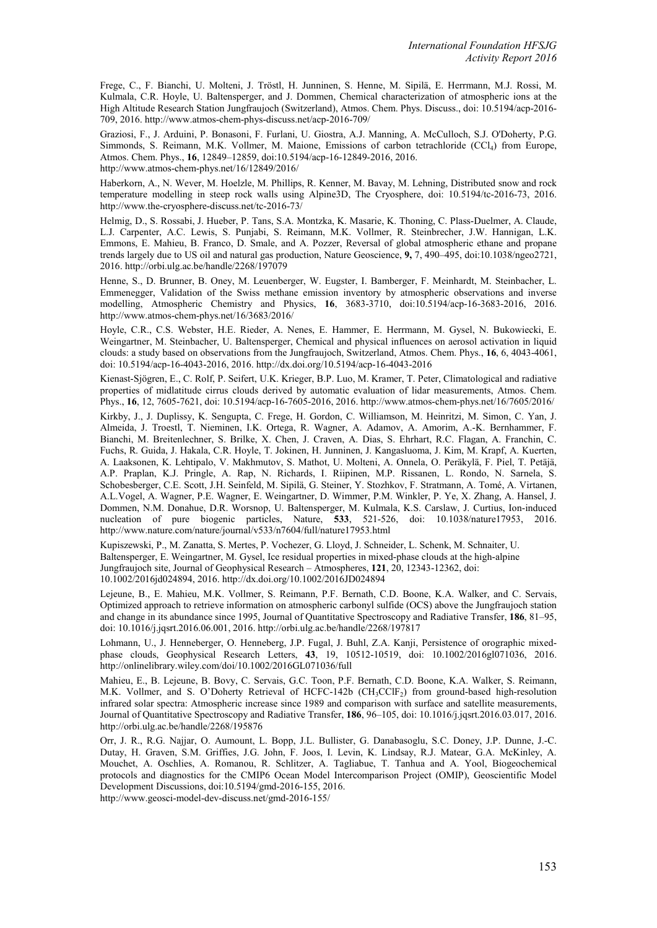Frege, C., F. Bianchi, U. Molteni, J. Tröstl, H. Junninen, S. Henne, M. Sipilä, E. Herrmann, M.J. Rossi, M. Kulmala, C.R. Hoyle, U. Baltensperger, and J. Dommen, Chemical characterization of atmospheric ions at the High Altitude Research Station Jungfraujoch (Switzerland), Atmos. Chem. Phys. Discuss., doi: 10.5194/acp-2016- 709, 2016. http://www.atmos-chem-phys-discuss.net/acp-2016-709/

Graziosi, F., J. Arduini, P. Bonasoni, F. Furlani, U. Giostra, A.J. Manning, A. McCulloch, S.J. O'Doherty, P.G. Simmonds, S. Reimann, M.K. Vollmer, M. Maione, Emissions of carbon tetrachloride (CCl4) from Europe, Atmos. Chem. Phys., **16**, 12849–12859, doi:10.5194/acp-16-12849-2016, 2016. http://www.atmos-chem-phys.net/16/12849/2016/

Haberkorn, A., N. Wever, M. Hoelzle, M. Phillips, R. Kenner, M. Bavay, M. Lehning, Distributed snow and rock temperature modelling in steep rock walls using Alpine3D, The Cryosphere, doi: 10.5194/tc-2016-73, 2016. http://www.the-cryosphere-discuss.net/tc-2016-73/

Helmig, D., S. Rossabi, J. Hueber, P. Tans, S.A. Montzka, K. Masarie, K. Thoning, C. Plass-Duelmer, A. Claude, L.J. Carpenter, A.C. Lewis, S. Punjabi, S. Reimann, M.K. Vollmer, R. Steinbrecher, J.W. Hannigan, L.K. Emmons, E. Mahieu, B. Franco, D. Smale, and A. Pozzer, Reversal of global atmospheric ethane and propane trends largely due to US oil and natural gas production, Nature Geoscience, **9,** 7, 490–495, doi:10.1038/ngeo2721, 2016. http://orbi.ulg.ac.be/handle/2268/197079

Henne, S., D. Brunner, B. Oney, M. Leuenberger, W. Eugster, I. Bamberger, F. Meinhardt, M. Steinbacher, L. Emmenegger, Validation of the Swiss methane emission inventory by atmospheric observations and inverse modelling, Atmospheric Chemistry and Physics, **16**, 3683-3710, doi:10.5194/acp-16-3683-2016, 2016. http://www.atmos-chem-phys.net/16/3683/2016/

Hoyle, C.R., C.S. Webster, H.E. Rieder, A. Nenes, E. Hammer, E. Herrmann, M. Gysel, N. Bukowiecki, E. Weingartner, M. Steinbacher, U. Baltensperger, Chemical and physical influences on aerosol activation in liquid clouds: a study based on observations from the Jungfraujoch, Switzerland, Atmos. Chem. Phys., **16**, 6, 4043-4061, doi: 10.5194/acp-16-4043-2016, 2016. http://dx.doi.org/10.5194/acp-16-4043-2016

Kienast-Sjögren, E., C. Rolf, P. Seifert, U.K. Krieger, B.P. Luo, M. Kramer, T. Peter, Climatological and radiative properties of midlatitude cirrus clouds derived by automatic evaluation of lidar measurements, Atmos. Chem. Phys., **16**, 12, 7605-7621, doi: 10.5194/acp-16-7605-2016, 2016. http://www.atmos-chem-phys.net/16/7605/2016/

Kirkby, J., J. Duplissy, K. Sengupta, C. Frege, H. Gordon, C. Williamson, M. Heinritzi, M. Simon, C. Yan, J. Almeida, J. Troestl, T. Nieminen, I.K. Ortega, R. Wagner, A. Adamov, A. Amorim, A.-K. Bernhammer, F. Bianchi, M. Breitenlechner, S. Brilke, X. Chen, J. Craven, A. Dias, S. Ehrhart, R.C. Flagan, A. Franchin, C. Fuchs, R. Guida, J. Hakala, C.R. Hoyle, T. Jokinen, H. Junninen, J. Kangasluoma, J. Kim, M. Krapf, A. Kuerten, A. Laaksonen, K. Lehtipalo, V. Makhmutov, S. Mathot, U. Molteni, A. Onnela, O. Peräkylä, F. Piel, T. Petäjä, A.P. Praplan, K.J. Pringle, A. Rap, N. Richards, I. Riipinen, M.P. Rissanen, L. Rondo, N. Sarnela, S. Schobesberger, C.E. Scott, J.H. Seinfeld, M. Sipilä, G. Steiner, Y. Stozhkov, F. Stratmann, A. Tomé, A. Virtanen, A.L.Vogel, A. Wagner, P.E. Wagner, E. Weingartner, D. Wimmer, P.M. Winkler, P. Ye, X. Zhang, A. Hansel, J. Dommen, N.M. Donahue, D.R. Worsnop, U. Baltensperger, M. Kulmala, K.S. Carslaw, J. Curtius, Ion-induced nucleation of pure biogenic particles, Nature, **533**, 521-526, doi: 10.1038/nature17953, 2016. http://www.nature.com/nature/journal/v533/n7604/full/nature17953.html

Kupiszewski, P., M. Zanatta, S. Mertes, P. Vochezer, G. Lloyd, J. Schneider, L. Schenk, M. Schnaiter, U. Baltensperger, E. Weingartner, M. Gysel, Ice residual properties in mixed-phase clouds at the high-alpine Jungfraujoch site, Journal of Geophysical Research – Atmospheres, **121**, 20, 12343-12362, doi: 10.1002/2016jd024894, 2016. http://dx.doi.org/10.1002/2016JD024894

Lejeune, B., E. Mahieu, M.K. Vollmer, S. Reimann, P.F. Bernath, C.D. Boone, K.A. Walker, and C. Servais, Optimized approach to retrieve information on atmospheric carbonyl sulfide (OCS) above the Jungfraujoch station and change in its abundance since 1995, Journal of Quantitative Spectroscopy and Radiative Transfer, **186**, 81–95, doi: 10.1016/j.jqsrt.2016.06.001, 2016. http://orbi.ulg.ac.be/handle/2268/197817

Lohmann, U., J. Henneberger, O. Henneberg, J.P. Fugal, J. Buhl, Z.A. Kanji, Persistence of orographic mixedphase clouds, Geophysical Research Letters, **43**, 19, 10512-10519, doi: 10.1002/2016gl071036, 2016. http://onlinelibrary.wiley.com/doi/10.1002/2016GL071036/full

Mahieu, E., B. Lejeune, B. Bovy, C. Servais, G.C. Toon, P.F. Bernath, C.D. Boone, K.A. Walker, S. Reimann, M.K. Vollmer, and S. O'Doherty Retrieval of HCFC-142b (CH3CClF<sub>2</sub>) from ground-based high-resolution infrared solar spectra: Atmospheric increase since 1989 and comparison with surface and satellite measurements, Journal of Quantitative Spectroscopy and Radiative Transfer, **186**, 96–105, doi: 10.1016/j.jqsrt.2016.03.017, 2016. http://orbi.ulg.ac.be/handle/2268/195876

Orr, J. R., R.G. Najjar, O. Aumount, L. Bopp, J.L. Bullister, G. Danabasoglu, S.C. Doney, J.P. Dunne, J.-C. Dutay, H. Graven, S.M. Griffies, J.G. John, F. Joos, I. Levin, K. Lindsay, R.J. Matear, G.A. McKinley, A. Mouchet, A. Oschlies, A. Romanou, R. Schlitzer, A. Tagliabue, T. Tanhua and A. Yool, Biogeochemical protocols and diagnostics for the CMIP6 Ocean Model Intercomparison Project (OMIP), Geoscientific Model Development Discussions, doi:10.5194/gmd-2016-155, 2016.

http://www.geosci-model-dev-discuss.net/gmd-2016-155/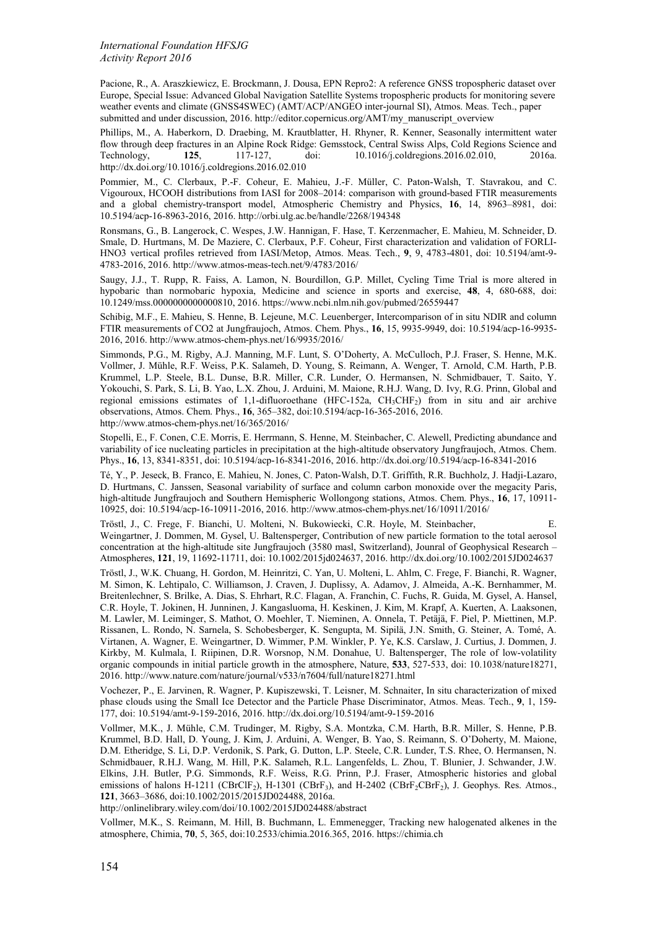Pacione, R., A. Araszkiewicz, E. Brockmann, J. Dousa, EPN Repro2: A reference GNSS tropospheric dataset over Europe, Special Issue: Advanced Global Navigation Satellite Systems tropospheric products for monitoring severe weather events and climate (GNSS4SWEC) (AMT/ACP/ANGEO inter-journal SI), Atmos. Meas. Tech., paper submitted and under discussion, 2016. http://editor.copernicus.org/AMT/my\_manuscript\_overview

Phillips, M., A. Haberkorn, D. Draebing, M. Krautblatter, H. Rhyner, R. Kenner, Seasonally intermittent water flow through deep fractures in an Alpine Rock Ridge: Gemsstock, Central Swiss Alps, Cold Regions Science and Technology, 125, 117-127, doi: 10.1016/j.coldregions.2016.02.010, 2016a. 10.1016/j.coldregions.2016.02.010, http://dx.doi.org/10.1016/j.coldregions.2016.02.010

Pommier, M., C. Clerbaux, P.-F. Coheur, E. Mahieu, J.-F. Müller, C. Paton-Walsh, T. Stavrakou, and C. Vigouroux, HCOOH distributions from IASI for 2008–2014: comparison with ground-based FTIR measurements and a global chemistry-transport model, Atmospheric Chemistry and Physics, **16**, 14, 8963–8981, doi: 10.5194/acp-16-8963-2016, 2016. http://orbi.ulg.ac.be/handle/2268/194348

Ronsmans, G., B. Langerock, C. Wespes, J.W. Hannigan, F. Hase, T. Kerzenmacher, E. Mahieu, M. Schneider, D. Smale, D. Hurtmans, M. De Maziere, C. Clerbaux, P.F. Coheur, First characterization and validation of FORLI-HNO3 vertical profiles retrieved from IASI/Metop, Atmos. Meas. Tech., **9**, 9, 4783-4801, doi: 10.5194/amt-9- 4783-2016, 2016. http://www.atmos-meas-tech.net/9/4783/2016/

Saugy, J.J., T. Rupp, R. Faiss, A. Lamon, N. Bourdillon, G.P. Millet, Cycling Time Trial is more altered in hypobaric than normobaric hypoxia, Medicine and science in sports and exercise, **48**, 4, 680-688, doi: 10.1249/mss.0000000000000810, 2016. https://www.ncbi.nlm.nih.gov/pubmed/26559447

Schibig, M.F., E. Mahieu, S. Henne, B. Lejeune, M.C. Leuenberger, Intercomparison of in situ NDIR and column FTIR measurements of CO2 at Jungfraujoch, Atmos. Chem. Phys., **16**, 15, 9935-9949, doi: 10.5194/acp-16-9935- 2016, 2016. http://www.atmos-chem-phys.net/16/9935/2016/

Simmonds, P.G., M. Rigby, A.J. Manning, M.F. Lunt, S. O'Doherty, A. McCulloch, P.J. Fraser, S. Henne, M.K. Vollmer, J. Mühle, R.F. Weiss, P.K. Salameh, D. Young, S. Reimann, A. Wenger, T. Arnold, C.M. Harth, P.B. Krummel, L.P. Steele, B.L. Dunse, B.R. Miller, C.R. Lunder, O. Hermansen, N. Schmidbauer, T. Saito, Y. Yokouchi, S. Park, S. Li, B. Yao, L.X. Zhou, J. Arduini, M. Maione, R.H.J. Wang, D. Ivy, R.G. Prinn, Global and regional emissions estimates of 1,1-difluoroethane (HFC-152a,  $CH_3CH_2CH_2$ ) from in situ and air archive observations, Atmos. Chem. Phys., **16**, 365–382, doi:10.5194/acp-16-365-2016, 2016. http://www.atmos-chem-phys.net/16/365/2016/

Stopelli, E., F. Conen, C.E. Morris, E. Herrmann, S. Henne, M. Steinbacher, C. Alewell, Predicting abundance and variability of ice nucleating particles in precipitation at the high-altitude observatory Jungfraujoch, Atmos. Chem. Phys., **16**, 13, 8341-8351, doi: 10.5194/acp-16-8341-2016, 2016. http://dx.doi.org/10.5194/acp-16-8341-2016

Té, Y., P. Jeseck, B. Franco, E. Mahieu, N. Jones, C. Paton-Walsh, D.T. Griffith, R.R. Buchholz, J. Hadji-Lazaro, D. Hurtmans, C. Janssen, Seasonal variability of surface and column carbon monoxide over the megacity Paris, high-altitude Jungfraujoch and Southern Hemispheric Wollongong stations, Atmos. Chem. Phys., **16**, 17, 10911- 10925, doi: 10.5194/acp-16-10911-2016, 2016. http://www.atmos-chem-phys.net/16/10911/2016/

Tröstl, J., C. Frege, F. Bianchi, U. Molteni, N. Bukowiecki, C.R. Hoyle, M. Steinbacher, E.

Weingartner, J. Dommen, M. Gysel, U. Baltensperger, Contribution of new particle formation to the total aerosol concentration at the high-altitude site Jungfraujoch (3580 masl, Switzerland), Jounral of Geophysical Research – Atmospheres, **121**, 19, 11692-11711, doi: 10.1002/2015jd024637, 2016. http://dx.doi.org/10.1002/2015JD024637

Tröstl, J., W.K. Chuang, H. Gordon, M. Heinritzi, C. Yan, U. Molteni, L. Ahlm, C. Frege, F. Bianchi, R. Wagner, M. Simon, K. Lehtipalo, C. Williamson, J. Craven, J. Duplissy, A. Adamov, J. Almeida, A.-K. Bernhammer, M. Breitenlechner, S. Brilke, A. Dias, S. Ehrhart, R.C. Flagan, A. Franchin, C. Fuchs, R. Guida, M. Gysel, A. Hansel, C.R. Hoyle, T. Jokinen, H. Junninen, J. Kangasluoma, H. Keskinen, J. Kim, M. Krapf, A. Kuerten, A. Laaksonen, M. Lawler, M. Leiminger, S. Mathot, O. Moehler, T. Nieminen, A. Onnela, T. Petäjä, F. Piel, P. Miettinen, M.P. Rissanen, L. Rondo, N. Sarnela, S. Schobesberger, K. Sengupta, M. Sipilä, J.N. Smith, G. Steiner, A. Tomé, A. Virtanen, A. Wagner, E. Weingartner, D. Wimmer, P.M. Winkler, P. Ye, K.S. Carslaw, J. Curtius, J. Dommen, J. Kirkby, M. Kulmala, I. Riipinen, D.R. Worsnop, N.M. Donahue, U. Baltensperger, The role of low-volatility organic compounds in initial particle growth in the atmosphere, Nature, **533**, 527-533, doi: 10.1038/nature18271, 2016. http://www.nature.com/nature/journal/v533/n7604/full/nature18271.html

Vochezer, P., E. Jarvinen, R. Wagner, P. Kupiszewski, T. Leisner, M. Schnaiter, In situ characterization of mixed phase clouds using the Small Ice Detector and the Particle Phase Discriminator, Atmos. Meas. Tech., **9**, 1, 159- 177, doi: 10.5194/amt-9-159-2016, 2016. http://dx.doi.org/10.5194/amt-9-159-2016

Vollmer, M.K., J. Mühle, C.M. Trudinger, M. Rigby, S.A. Montzka, C.M. Harth, B.R. Miller, S. Henne, P.B. Krummel, B.D. Hall, D. Young, J. Kim, J. Arduini, A. Wenger, B. Yao, S. Reimann, S. O'Doherty, M. Maione, D.M. Etheridge, S. Li, D.P. Verdonik, S. Park, G. Dutton, L.P. Steele, C.R. Lunder, T.S. Rhee, O. Hermansen, N. Schmidbauer, R.H.J. Wang, M. Hill, P.K. Salameh, R.L. Langenfelds, L. Zhou, T. Blunier, J. Schwander, J.W. Elkins, J.H. Butler, P.G. Simmonds, R.F. Weiss, R.G. Prinn, P.J. Fraser, Atmospheric histories and global emissions of halons H-1211 (CBrClF<sub>2</sub>), H-1301 (CBrF<sub>3</sub>), and H-2402 (CBrF<sub>2</sub>CBrF<sub>2</sub>), J. Geophys. Res. Atmos., **121**, 3663‒3686, doi:10.1002/2015/2015JD024488, 2016a.

http://onlinelibrary.wiley.com/doi/10.1002/2015JD024488/abstract

Vollmer, M.K., S. Reimann, M. Hill, B. Buchmann, L. Emmenegger, Tracking new halogenated alkenes in the atmosphere, Chimia, **70**, 5, 365, doi:10.2533/chimia.2016.365, 2016. https://chimia.ch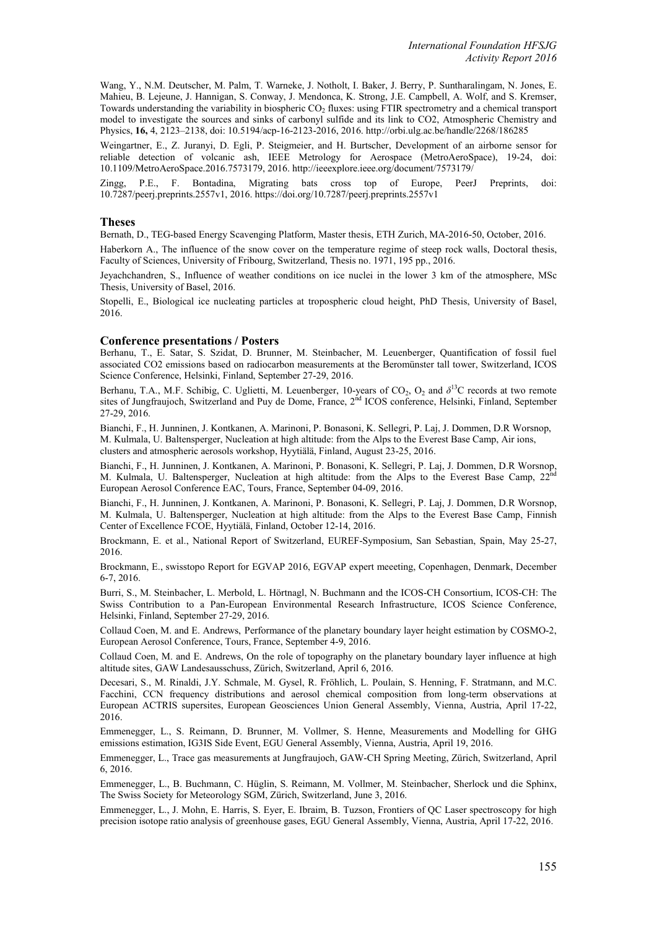Wang, Y., N.M. Deutscher, M. Palm, T. Warneke, J. Notholt, I. Baker, J. Berry, P. Suntharalingam, N. Jones, E. Mahieu, B. Lejeune, J. Hannigan, S. Conway, J. Mendonca, K. Strong, J.E. Campbell, A. Wolf, and S. Kremser, Towards understanding the variability in biospheric CO<sub>2</sub> fluxes: using FTIR spectrometry and a chemical transport model to investigate the sources and sinks of carbonyl sulfide and its link to CO2, Atmospheric Chemistry and Physics, **16,** 4, 2123–2138, doi: 10.5194/acp-16-2123-2016, 2016. http://orbi.ulg.ac.be/handle/2268/186285

Weingartner, E., Z. Juranyi, D. Egli, P. Steigmeier, and H. Burtscher, Development of an airborne sensor for reliable detection of volcanic ash, IEEE Metrology for Aerospace (MetroAeroSpace), 19-24, doi: 10.1109/MetroAeroSpace.2016.7573179, 2016. http://ieeexplore.ieee.org/document/7573179/

Zingg, P.E., F. Bontadina, Migrating bats cross top of Europe, PeerJ Preprints, doi: 10.7287/peerj.preprints.2557v1, 2016. https://doi.org/10.7287/peerj.preprints.2557v1

### **Theses**

Bernath, D., TEG-based Energy Scavenging Platform, Master thesis, ETH Zurich, MA-2016-50, October, 2016.

Haberkorn A., The influence of the snow cover on the temperature regime of steep rock walls, Doctoral thesis, Faculty of Sciences, University of Fribourg, Switzerland, Thesis no. 1971, 195 pp., 2016.

Jeyachchandren, S., Influence of weather conditions on ice nuclei in the lower 3 km of the atmosphere, MSc Thesis, University of Basel, 2016.

Stopelli, E., Biological ice nucleating particles at tropospheric cloud height, PhD Thesis, University of Basel, 2016.

#### **Conference presentations / Posters**

Berhanu, T., E. Satar, S. Szidat, D. Brunner, M. Steinbacher, M. Leuenberger, Quantification of fossil fuel associated CO2 emissions based on radiocarbon measurements at the Beromünster tall tower, Switzerland, ICOS Science Conference, Helsinki, Finland, September 27-29, 2016.

Berhanu, T.A., M.F. Schibig, C. Uglietti, M. Leuenberger, 10-years of  $CO_2$ ,  $O_2$  and  $\delta^{13}C$  records at two remote sites of Jungfraujoch, Switzerland and Puy de Dome, France, 2<sup>nd</sup> ICOS conference, Helsinki, Finland, September 27-29, 2016.

Bianchi, F., H. Junninen, J. Kontkanen, A. Marinoni, P. Bonasoni, K. Sellegri, P. Laj, J. Dommen, D.R Worsnop, M. Kulmala, U. Baltensperger, Nucleation at high altitude: from the Alps to the Everest Base Camp, Air ions, clusters and atmospheric aerosols workshop, Hyytiälä, Finland, August 23-25, 2016.

Bianchi, F., H. Junninen, J. Kontkanen, A. Marinoni, P. Bonasoni, K. Sellegri, P. Laj, J. Dommen, D.R Worsnop, M. Kulmala, U. Baltensperger, Nucleation at high altitude: from the Alps to the Everest Base Camp,  $22<sup>h</sup>$ European Aerosol Conference EAC, Tours, France, September 04-09, 2016.

Bianchi, F., H. Junninen, J. Kontkanen, A. Marinoni, P. Bonasoni, K. Sellegri, P. Laj, J. Dommen, D.R Worsnop, M. Kulmala, U. Baltensperger, Nucleation at high altitude: from the Alps to the Everest Base Camp, Finnish Center of Excellence FCOE, Hyytiälä, Finland, October 12-14, 2016.

Brockmann, E. et al., National Report of Switzerland, EUREF-Symposium, San Sebastian, Spain, May 25-27, 2016.

Brockmann, E., swisstopo Report for EGVAP 2016, EGVAP expert meeeting, Copenhagen, Denmark, December 6-7, 2016.

Burri, S., M. Steinbacher, L. Merbold, L. Hörtnagl, N. Buchmann and the ICOS-CH Consortium, ICOS-CH: The Swiss Contribution to a Pan-European Environmental Research Infrastructure, ICOS Science Conference, Helsinki, Finland, September 27-29, 2016.

Collaud Coen, M. and E. Andrews, Performance of the planetary boundary layer height estimation by COSMO-2, European Aerosol Conference, Tours, France, September 4-9, 2016.

Collaud Coen, M. and E. Andrews, On the role of topography on the planetary boundary layer influence at high altitude sites, GAW Landesausschuss, Zürich, Switzerland, April 6, 2016.

Decesari, S., M. Rinaldi, J.Y. Schmale, M. Gysel, R. Fröhlich, L. Poulain, S. Henning, F. Stratmann, and M.C. Facchini, CCN frequency distributions and aerosol chemical composition from long-term observations at European ACTRIS supersites, European Geosciences Union General Assembly, Vienna, Austria, April 17-22, 2016.

Emmenegger, L., S. Reimann, D. Brunner, M. Vollmer, S. Henne, Measurements and Modelling for GHG emissions estimation, IG3IS Side Event, EGU General Assembly, Vienna, Austria, April 19, 2016.

Emmenegger, L., Trace gas measurements at Jungfraujoch, GAW-CH Spring Meeting, Zürich, Switzerland, April 6, 2016.

Emmenegger, L., B. Buchmann, C. Hüglin, S. Reimann, M. Vollmer, M. Steinbacher, Sherlock und die Sphinx, The Swiss Society for Meteorology SGM, Zürich, Switzerland, June 3, 2016.

Emmenegger, L., J. Mohn, E. Harris, S. Eyer, E. Ibraim, B. Tuzson, Frontiers of QC Laser spectroscopy for high precision isotope ratio analysis of greenhouse gases, EGU General Assembly, Vienna, Austria, April 17-22, 2016.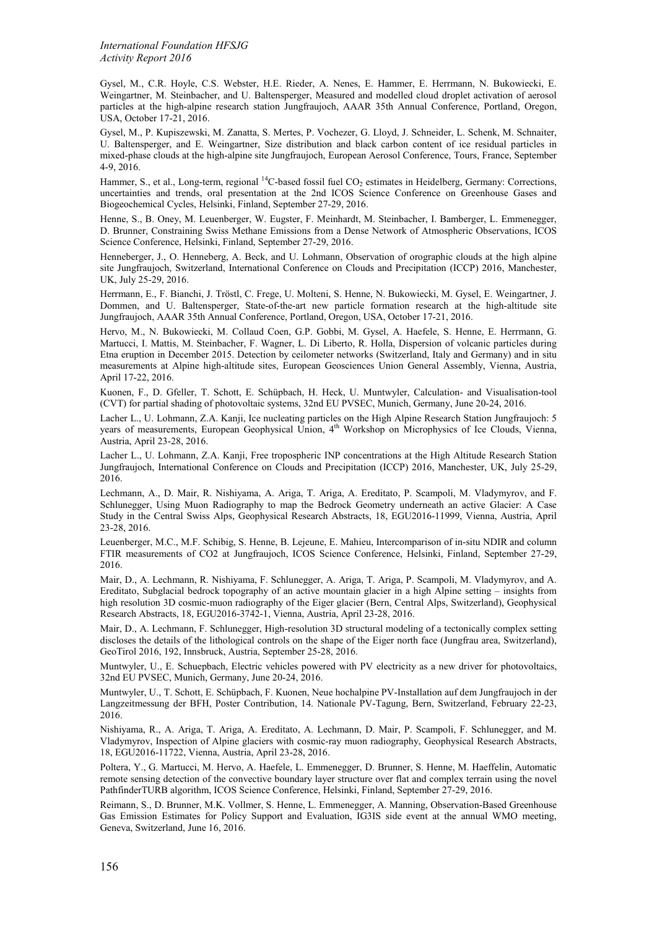*International Foundation HFSJG Activity Report 2016*

Gysel, M., C.R. Hoyle, C.S. Webster, H.E. Rieder, A. Nenes, E. Hammer, E. Herrmann, N. Bukowiecki, E. Weingartner, M. Steinbacher, and U. Baltensperger, Measured and modelled cloud droplet activation of aerosol particles at the high-alpine research station Jungfraujoch, AAAR 35th Annual Conference, Portland, Oregon, USA, October 17-21, 2016.

Gysel, M., P. Kupiszewski, M. Zanatta, S. Mertes, P. Vochezer, G. Lloyd, J. Schneider, L. Schenk, M. Schnaiter, U. Baltensperger, and E. Weingartner, Size distribution and black carbon content of ice residual particles in mixed-phase clouds at the high-alpine site Jungfraujoch, European Aerosol Conference, Tours, France, September 4-9, 2016.

Hammer, S., et al., Long-term, regional <sup>14</sup>C-based fossil fuel CO<sub>2</sub> estimates in Heidelberg, Germany: Corrections, uncertainties and trends, oral presentation at the 2nd ICOS Science Conference on Greenhouse Gases and Biogeochemical Cycles, Helsinki, Finland, September 27-29, 2016.

Henne, S., B. Oney, M. Leuenberger, W. Eugster, F. Meinhardt, M. Steinbacher, I. Bamberger, L. Emmenegger, D. Brunner, Constraining Swiss Methane Emissions from a Dense Network of Atmospheric Observations, ICOS Science Conference, Helsinki, Finland, September 27-29, 2016.

Henneberger, J., O. Henneberg, A. Beck, and U. Lohmann, Observation of orographic clouds at the high alpine site Jungfraujoch, Switzerland, International Conference on Clouds and Precipitation (ICCP) 2016, Manchester, UK, July 25-29, 2016.

Herrmann, E., F. Bianchi, J. Tröstl, C. Frege, U. Molteni, S. Henne, N. Bukowiecki, M. Gysel, E. Weingartner, J. Dommen, and U. Baltensperger, State-of-the-art new particle formation research at the high-altitude site Jungfraujoch, AAAR 35th Annual Conference, Portland, Oregon, USA, October 17-21, 2016.

Hervo, M., N. Bukowiecki, M. Collaud Coen, G.P. Gobbi, M. Gysel, A. Haefele, S. Henne, E. Herrmann, G. Martucci, I. Mattis, M. Steinbacher, F. Wagner, L. Di Liberto, R. Holla, Dispersion of volcanic particles during Etna eruption in December 2015. Detection by ceilometer networks (Switzerland, Italy and Germany) and in situ measurements at Alpine high-altitude sites, European Geosciences Union General Assembly, Vienna, Austria, April 17-22, 2016.

Kuonen, F., D. Gfeller, T. Schott, E. Schüpbach, H. Heck, U. Muntwyler, Calculation- and Visualisation-tool (CVT) for partial shading of photovoltaic systems, 32nd EU PVSEC, Munich, Germany, June 20-24, 2016.

Lacher L., U. Lohmann, Z.A. Kanji, Ice nucleating particles on the High Alpine Research Station Jungfraujoch: 5 years of measurements, European Geophysical Union, 4<sup>th</sup> Workshop on Microphysics of Ice Clouds, Vienna, Austria, April 23-28, 2016.

Lacher L., U. Lohmann, Z.A. Kanji, Free tropospheric INP concentrations at the High Altitude Research Station Jungfraujoch, International Conference on Clouds and Precipitation (ICCP) 2016, Manchester, UK, July 25-29, 2016.

Lechmann, A., D. Mair, R. Nishiyama, A. Ariga, T. Ariga, A. Ereditato, P. Scampoli, M. Vladymyrov, and F. Schlunegger, Using Muon Radiography to map the Bedrock Geometry underneath an active Glacier: A Case Study in the Central Swiss Alps, Geophysical Research Abstracts, 18, EGU2016-11999, Vienna, Austria, April 23-28, 2016.

Leuenberger, M.C., M.F. Schibig, S. Henne, B. Lejeune, E. Mahieu, Intercomparison of in-situ NDIR and column FTIR measurements of CO2 at Jungfraujoch, ICOS Science Conference, Helsinki, Finland, September 27-29, 2016.

Mair, D., A. Lechmann, R. Nishiyama, F. Schlunegger, A. Ariga, T. Ariga, P. Scampoli, M. Vladymyrov, and A. Ereditato, Subglacial bedrock topography of an active mountain glacier in a high Alpine setting – insights from high resolution 3D cosmic-muon radiography of the Eiger glacier (Bern, Central Alps, Switzerland), Geophysical Research Abstracts, 18, EGU2016-3742-1, Vienna, Austria, April 23-28, 2016.

Mair, D., A. Lechmann, F. Schlunegger, High-resolution 3D structural modeling of a tectonically complex setting discloses the details of the lithological controls on the shape of the Eiger north face (Jungfrau area, Switzerland), GeoTirol 2016, 192, Innsbruck, Austria, September 25-28, 2016.

Muntwyler, U., E. Schuepbach, Electric vehicles powered with PV electricity as a new driver for photovoltaics, 32nd EU PVSEC, Munich, Germany, June 20-24, 2016.

Muntwyler, U., T. Schott, E. Schüpbach, F. Kuonen, Neue hochalpine PV-Installation auf dem Jungfraujoch in der Langzeitmessung der BFH, Poster Contribution, 14. Nationale PV-Tagung, Bern, Switzerland, February 22-23, 2016.

Nishiyama, R., A. Ariga, T. Ariga, A. Ereditato, A. Lechmann, D. Mair, P. Scampoli, F. Schlunegger, and M. Vladymyrov, Inspection of Alpine glaciers with cosmic-ray muon radiography, Geophysical Research Abstracts, 18, EGU2016-11722, Vienna, Austria, April 23-28, 2016.

Poltera, Y., G. Martucci, M. Hervo, A. Haefele, L. Emmenegger, D. Brunner, S. Henne, M. Haeffelin, Automatic remote sensing detection of the convective boundary layer structure over flat and complex terrain using the novel PathfinderTURB algorithm, ICOS Science Conference, Helsinki, Finland, September 27-29, 2016.

Reimann, S., D. Brunner, M.K. Vollmer, S. Henne, L. Emmenegger, A. Manning, Observation-Based Greenhouse Gas Emission Estimates for Policy Support and Evaluation, IG3IS side event at the annual WMO meeting, Geneva, Switzerland, June 16, 2016.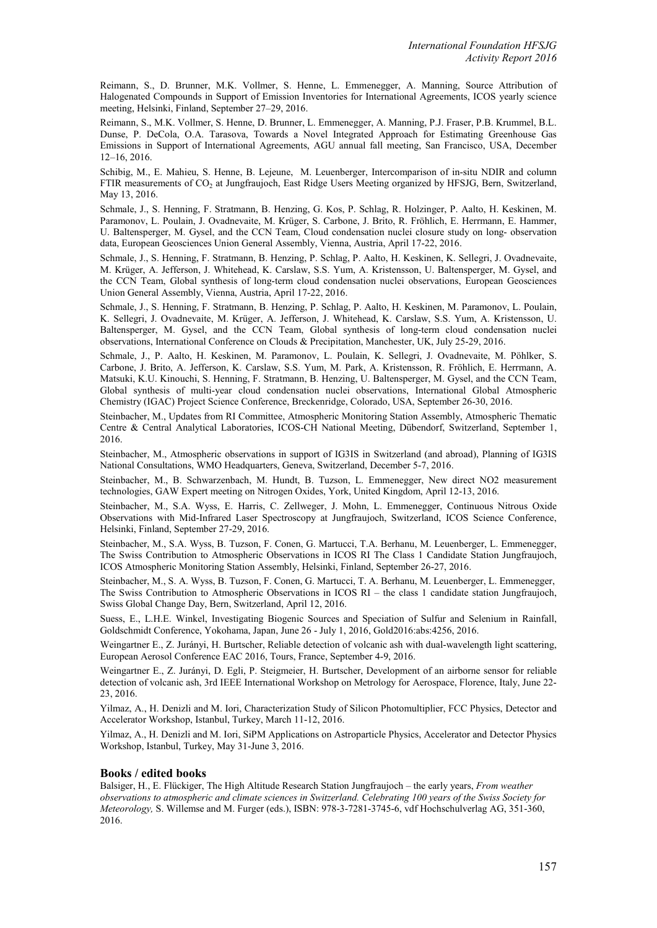Reimann, S., D. Brunner, M.K. Vollmer, S. Henne, L. Emmenegger, A. Manning, Source Attribution of Halogenated Compounds in Support of Emission Inventories for International Agreements, ICOS yearly science meeting, Helsinki, Finland, September 27–29, 2016.

Reimann, S., M.K. Vollmer, S. Henne, D. Brunner, L. Emmenegger, A. Manning, P.J. Fraser, P.B. Krummel, B.L. Dunse, P. DeCola, O.A. Tarasova, Towards a Novel Integrated Approach for Estimating Greenhouse Gas Emissions in Support of International Agreements, AGU annual fall meeting, San Francisco, USA, December 12‒16, 2016.

Schibig, M., E. Mahieu, S. Henne, B. Lejeune, M. Leuenberger, Intercomparison of in-situ NDIR and column FTIR measurements of CO<sub>2</sub> at Jungfraujoch, East Ridge Users Meeting organized by HFSJG, Bern, Switzerland, May 13, 2016.

Schmale, J., S. Henning, F. Stratmann, B. Henzing, G. Kos, P. Schlag, R. Holzinger, P. Aalto, H. Keskinen, M. Paramonov, L. Poulain, J. Ovadnevaite, M. Krüger, S. Carbone, J. Brito, R. Fröhlich, E. Herrmann, E. Hammer, U. Baltensperger, M. Gysel, and the CCN Team, Cloud condensation nuclei closure study on long- observation data, European Geosciences Union General Assembly, Vienna, Austria, April 17-22, 2016.

Schmale, J., S. Henning, F. Stratmann, B. Henzing, P. Schlag, P. Aalto, H. Keskinen, K. Sellegri, J. Ovadnevaite, M. Krüger, A. Jefferson, J. Whitehead, K. Carslaw, S.S. Yum, A. Kristensson, U. Baltensperger, M. Gysel, and the CCN Team, Global synthesis of long-term cloud condensation nuclei observations, European Geosciences Union General Assembly, Vienna, Austria, April 17-22, 2016.

Schmale, J., S. Henning, F. Stratmann, B. Henzing, P. Schlag, P. Aalto, H. Keskinen, M. Paramonov, L. Poulain, K. Sellegri, J. Ovadnevaite, M. Krüger, A. Jefferson, J. Whitehead, K. Carslaw, S.S. Yum, A. Kristensson, U. Baltensperger, M. Gysel, and the CCN Team, Global synthesis of long-term cloud condensation nuclei observations, International Conference on Clouds & Precipitation, Manchester, UK, July 25-29, 2016.

Schmale, J., P. Aalto, H. Keskinen, M. Paramonov, L. Poulain, K. Sellegri, J. Ovadnevaite, M. Pöhlker, S. Carbone, J. Brito, A. Jefferson, K. Carslaw, S.S. Yum, M. Park, A. Kristensson, R. Fröhlich, E. Herrmann, A. Matsuki, K.U. Kinouchi, S. Henning, F. Stratmann, B. Henzing, U. Baltensperger, M. Gysel, and the CCN Team, Global synthesis of multi-year cloud condensation nuclei observations, International Global Atmospheric Chemistry (IGAC) Project Science Conference, Breckenridge, Colorado, USA, September 26-30, 2016.

Steinbacher, M., Updates from RI Committee, Atmospheric Monitoring Station Assembly, Atmospheric Thematic Centre & Central Analytical Laboratories, ICOS-CH National Meeting, Dübendorf, Switzerland, September 1, 2016.

Steinbacher, M., Atmospheric observations in support of IG3IS in Switzerland (and abroad), Planning of IG3IS National Consultations, WMO Headquarters, Geneva, Switzerland, December 5-7, 2016.

Steinbacher, M., B. Schwarzenbach, M. Hundt, B. Tuzson, L. Emmenegger, New direct NO2 measurement technologies, GAW Expert meeting on Nitrogen Oxides, York, United Kingdom, April 12-13, 2016.

Steinbacher, M., S.A. Wyss, E. Harris, C. Zellweger, J. Mohn, L. Emmenegger, Continuous Nitrous Oxide Observations with Mid-Infrared Laser Spectroscopy at Jungfraujoch, Switzerland, ICOS Science Conference, Helsinki, Finland, September 27-29, 2016.

Steinbacher, M., S.A. Wyss, B. Tuzson, F. Conen, G. Martucci, T.A. Berhanu, M. Leuenberger, L. Emmenegger, The Swiss Contribution to Atmospheric Observations in ICOS RI The Class 1 Candidate Station Jungfraujoch, ICOS Atmospheric Monitoring Station Assembly, Helsinki, Finland, September 26-27, 2016.

Steinbacher, M., S. A. Wyss, B. Tuzson, F. Conen, G. Martucci, T. A. Berhanu, M. Leuenberger, L. Emmenegger, The Swiss Contribution to Atmospheric Observations in ICOS RI – the class 1 candidate station Jungfraujoch, Swiss Global Change Day, Bern, Switzerland, April 12, 2016.

Suess, E., L.H.E. Winkel, Investigating Biogenic Sources and Speciation of Sulfur and Selenium in Rainfall, Goldschmidt Conference, Yokohama, Japan, June 26 - July 1, 2016, Gold2016:abs:4256, 2016.

Weingartner E., Z. Jurányi, H. Burtscher, Reliable detection of volcanic ash with dual-wavelength light scattering, European Aerosol Conference EAC 2016, Tours, France, September 4-9, 2016.

Weingartner E., Z. Jurányi, D. Egli, P. Steigmeier, H. Burtscher, Development of an airborne sensor for reliable detection of volcanic ash, 3rd IEEE International Workshop on Metrology for Aerospace, Florence, Italy, June 22- 23, 2016.

Yilmaz, A., H. Denizli and M. Iori, Characterization Study of Silicon Photomultiplier, FCC Physics, Detector and Accelerator Workshop, Istanbul, Turkey, March 11-12, 2016.

Yilmaz, A., H. Denizli and M. Iori, SiPM Applications on Astroparticle Physics, Accelerator and Detector Physics Workshop, Istanbul, Turkey, May 31-June 3, 2016.

#### **Books / edited books**

Balsiger, H., E. Flückiger, The High Altitude Research Station Jungfraujoch – the early years, *From weather observations to atmospheric and climate sciences in Switzerland. Celebrating 100 years of the Swiss Society for Meteorology,* S. Willemse and M. Furger (eds.), ISBN: 978-3-7281-3745-6, vdf Hochschulverlag AG, 351-360, 2016.